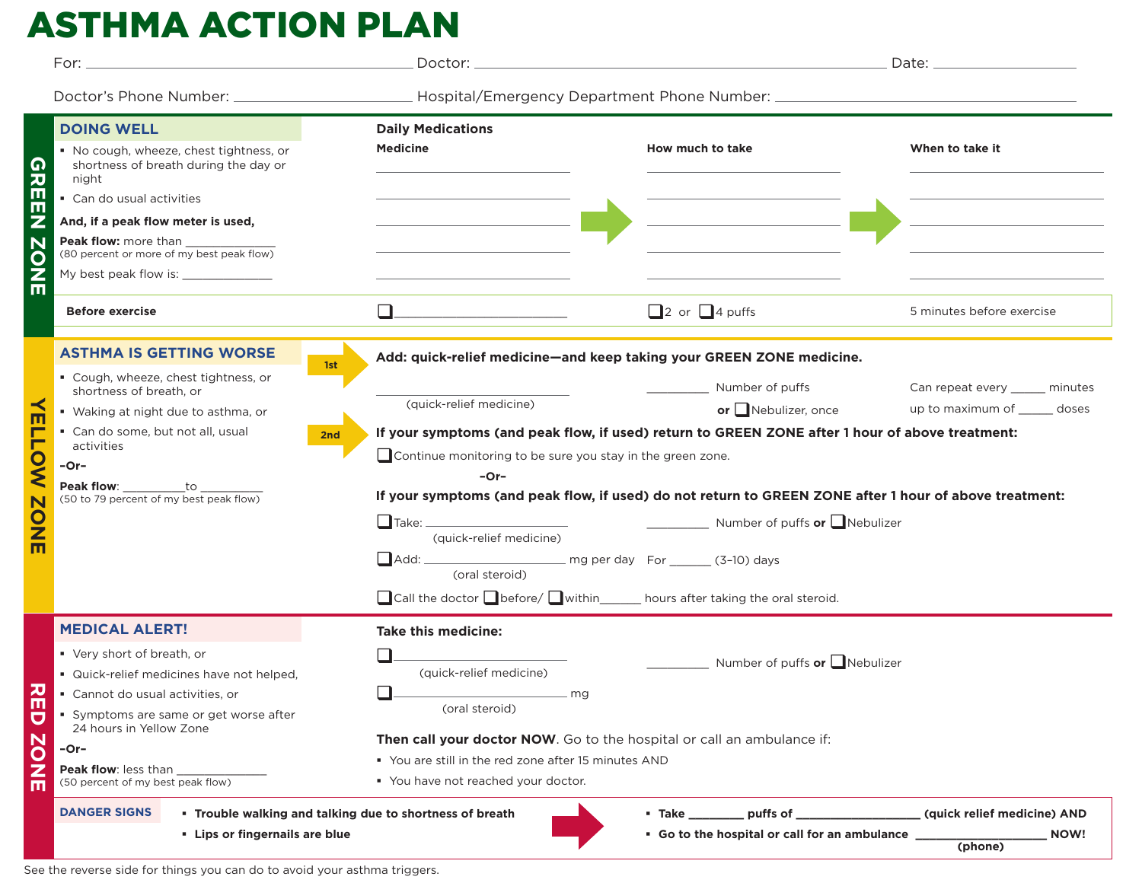# ASTHMA ACTION PLAN

|                          | For: _                                                                                  |                                                                                                                                |                                                                                                                                                                                                                                                                                                                                                         |                                |  |
|--------------------------|-----------------------------------------------------------------------------------------|--------------------------------------------------------------------------------------------------------------------------------|---------------------------------------------------------------------------------------------------------------------------------------------------------------------------------------------------------------------------------------------------------------------------------------------------------------------------------------------------------|--------------------------------|--|
|                          |                                                                                         |                                                                                                                                |                                                                                                                                                                                                                                                                                                                                                         |                                |  |
|                          | <b>DOING WELL</b>                                                                       | <b>Daily Medications</b>                                                                                                       |                                                                                                                                                                                                                                                                                                                                                         |                                |  |
| 61                       | No cough, wheeze, chest tightness, or<br>shortness of breath during the day or<br>night | <b>Medicine</b>                                                                                                                | How much to take                                                                                                                                                                                                                                                                                                                                        | When to take it                |  |
|                          | Can do usual activities                                                                 |                                                                                                                                |                                                                                                                                                                                                                                                                                                                                                         |                                |  |
| ш                        | And, if a peak flow meter is used,                                                      | <u> 1990 - Johann Barbara, martin a</u>                                                                                        |                                                                                                                                                                                                                                                                                                                                                         |                                |  |
|                          |                                                                                         |                                                                                                                                |                                                                                                                                                                                                                                                                                                                                                         |                                |  |
|                          | My best peak flow is: _______________                                                   |                                                                                                                                |                                                                                                                                                                                                                                                                                                                                                         |                                |  |
| ш                        | <b>Before exercise</b>                                                                  | $\Box$                                                                                                                         | $\Box$ 2 or $\Box$ 4 puffs                                                                                                                                                                                                                                                                                                                              | 5 minutes before exercise      |  |
|                          | <b>ASTHMA IS GETTING WORSE</b><br>1st                                                   | Add: quick-relief medicine-and keep taking your GREEN ZONE medicine.                                                           |                                                                                                                                                                                                                                                                                                                                                         |                                |  |
|                          | " Cough, wheeze, chest tightness, or                                                    |                                                                                                                                | Number of puffs                                                                                                                                                                                                                                                                                                                                         | Can repeat every _____ minutes |  |
|                          | shortness of breath, or<br>• Waking at night due to asthma, or                          | (quick-relief medicine)                                                                                                        | or $\Box$ Nebulizer, once                                                                                                                                                                                                                                                                                                                               | up to maximum of ______ doses  |  |
|                          | Can do some, but not all, usual<br>2nd                                                  | If your symptoms (and peak flow, if used) return to GREEN ZONE after 1 hour of above treatment:                                |                                                                                                                                                                                                                                                                                                                                                         |                                |  |
|                          | activities                                                                              | Continue monitoring to be sure you stay in the green zone.                                                                     |                                                                                                                                                                                                                                                                                                                                                         |                                |  |
|                          | -Or-                                                                                    | $-Or-$                                                                                                                         |                                                                                                                                                                                                                                                                                                                                                         |                                |  |
|                          | Peak flow: ___________to ___<br>(50 to 79 percent of my best peak flow)                 | If your symptoms (and peak flow, if used) do not return to GREEN ZONE after 1 hour of above treatment:                         |                                                                                                                                                                                                                                                                                                                                                         |                                |  |
|                          |                                                                                         | Number of puffs or Nebulizer                                                                                                   |                                                                                                                                                                                                                                                                                                                                                         |                                |  |
|                          |                                                                                         | (quick-relief medicine)                                                                                                        |                                                                                                                                                                                                                                                                                                                                                         |                                |  |
|                          |                                                                                         | (oral steroid)                                                                                                                 |                                                                                                                                                                                                                                                                                                                                                         |                                |  |
|                          |                                                                                         |                                                                                                                                | $\Box$ Call the doctor $\Box$ before/ $\Box$ within _______ hours after taking the oral steroid.                                                                                                                                                                                                                                                        |                                |  |
| Ш<br>$\blacksquare$<br>Ò | <b>MEDICAL ALERT!</b>                                                                   | <b>Take this medicine:</b>                                                                                                     |                                                                                                                                                                                                                                                                                                                                                         |                                |  |
|                          | ■ Very short of breath, or                                                              |                                                                                                                                | Number of puffs <b>or</b> $\Box$ Nebulizer                                                                                                                                                                                                                                                                                                              |                                |  |
|                          | · Quick-relief medicines have not helped,                                               | (quick-relief medicine)                                                                                                        |                                                                                                                                                                                                                                                                                                                                                         |                                |  |
|                          | Cannot do usual activities, or                                                          | $\Box$<br>$\_$ mg<br>(oral steroid)                                                                                            |                                                                                                                                                                                                                                                                                                                                                         |                                |  |
|                          | Symptoms are same or get worse after<br>24 hours in Yellow Zone                         |                                                                                                                                |                                                                                                                                                                                                                                                                                                                                                         |                                |  |
|                          | -Or-                                                                                    | Then call your doctor NOW. Go to the hospital or call an ambulance if:<br>" You are still in the red zone after 15 minutes AND |                                                                                                                                                                                                                                                                                                                                                         |                                |  |
|                          | <b>Peak flow: less than</b><br>(50 percent of my best peak flow)                        | " You have not reached your doctor.                                                                                            |                                                                                                                                                                                                                                                                                                                                                         |                                |  |
| П                        |                                                                                         |                                                                                                                                |                                                                                                                                                                                                                                                                                                                                                         |                                |  |
|                          | <b>DANGER SIGNS</b>                                                                     | . Trouble walking and talking due to shortness of breath                                                                       | <b>Duffs of the contract of the contract of the contract of the contract of the contract of the contract of the c</b><br>• Take the state of the state of the state of the state of the state of the state of the state of the state of the state of the state of the state of the state of the state of the state of the state of the state of the sta | (quick relief medicine) AND    |  |
|                          | - Lips or fingernails are blue                                                          |                                                                                                                                | • Go to the hospital or call for an ambulance _                                                                                                                                                                                                                                                                                                         | <b>NOW!</b><br>(phone)         |  |

See the reverse side for things you can do to avoid your asthma triggers.